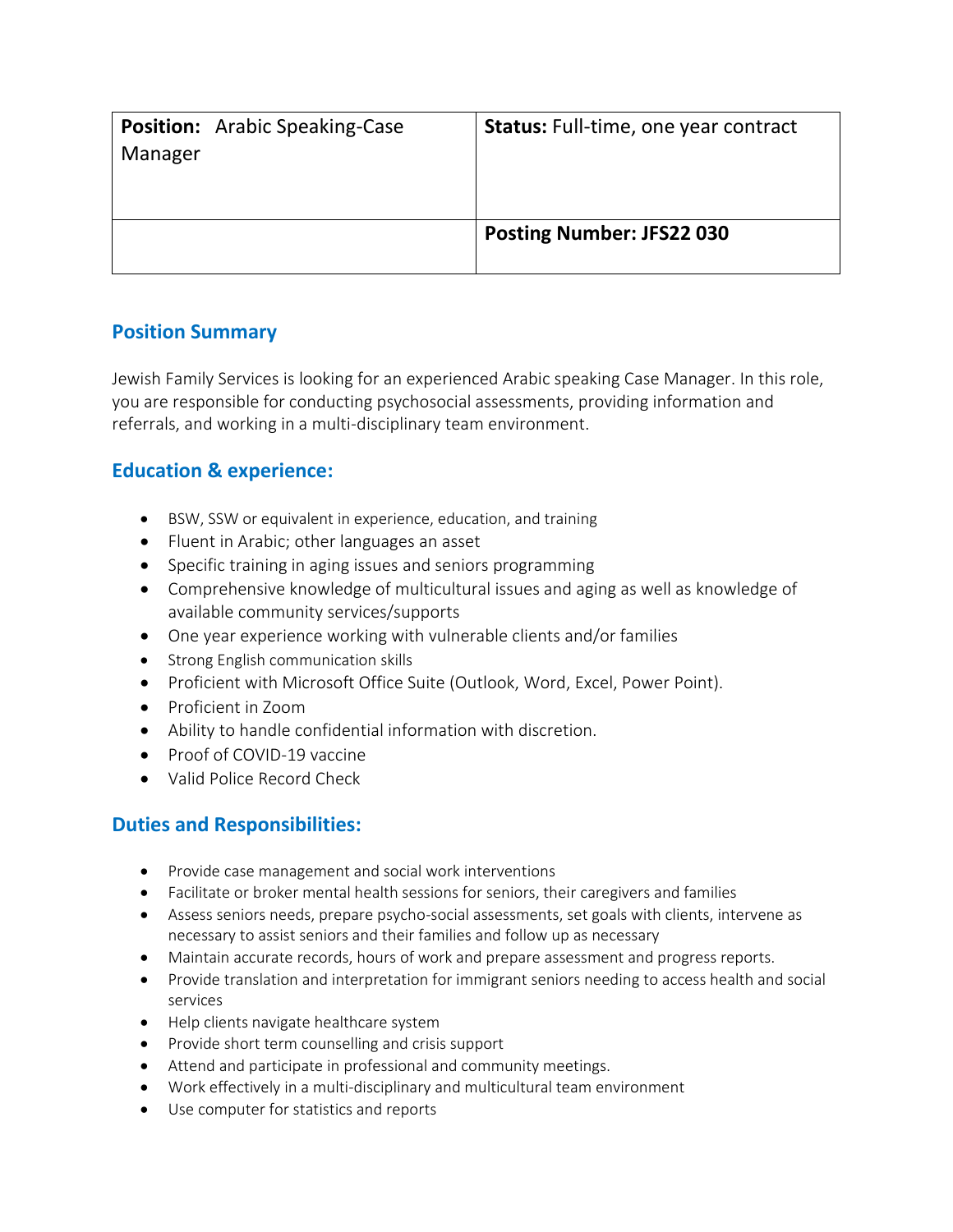| <b>Position:</b> Arabic Speaking-Case<br>Manager | <b>Status:</b> Full-time, one year contract |
|--------------------------------------------------|---------------------------------------------|
|                                                  | <b>Posting Number: JFS22 030</b>            |

## **Position Summary**

Jewish Family Services is looking for an experienced Arabic speaking Case Manager. In this role, you are responsible for conducting psychosocial assessments, providing information and referrals, and working in a multi-disciplinary team environment.

## **Education & experience:**

- BSW, SSW or equivalent in experience, education, and training
- Fluent in Arabic; other languages an asset
- Specific training in aging issues and seniors programming
- Comprehensive knowledge of multicultural issues and aging as well as knowledge of available community services/supports
- One year experience working with vulnerable clients and/or families
- Strong English communication skills
- Proficient with Microsoft Office Suite (Outlook, Word, Excel, Power Point).
- Proficient in Zoom
- Ability to handle confidential information with discretion.
- Proof of COVID-19 vaccine
- Valid Police Record Check

## **Duties and Responsibilities:**

- Provide case management and social work interventions
- Facilitate or broker mental health sessions for seniors, their caregivers and families
- Assess seniors needs, prepare psycho-social assessments, set goals with clients, intervene as necessary to assist seniors and their families and follow up as necessary
- Maintain accurate records, hours of work and prepare assessment and progress reports.
- Provide translation and interpretation for immigrant seniors needing to access health and social services
- Help clients navigate healthcare system
- Provide short term counselling and crisis support
- Attend and participate in professional and community meetings.
- Work effectively in a multi-disciplinary and multicultural team environment
- Use computer for statistics and reports